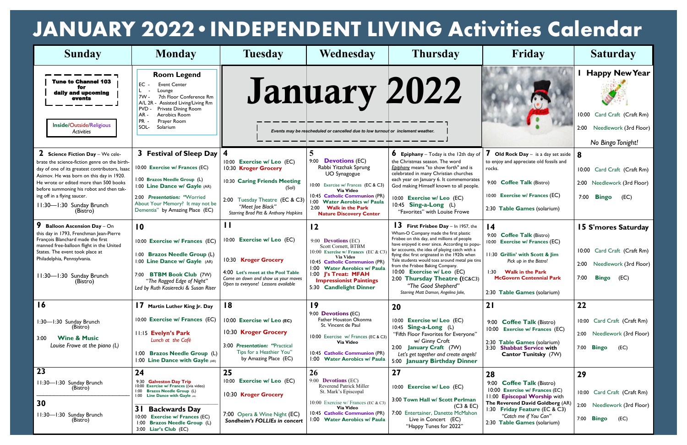| <b>Sunday</b>                                                                                                                                                                                                                                                                                                                                  | <b>Monday</b>                                                                                                                                                                                                                                                                         | <b>Tuesday</b>                                                                                                                                                                               | Wednesday                                                                                                                                                                                                                                                                            | <b>Thursday</b>                                                                                                                                                                                                                                                                                                                                                                                                                                                                                                | Friday                                                                                                                                                                                                                                           | <b>Saturday</b>                                                                                                             |
|------------------------------------------------------------------------------------------------------------------------------------------------------------------------------------------------------------------------------------------------------------------------------------------------------------------------------------------------|---------------------------------------------------------------------------------------------------------------------------------------------------------------------------------------------------------------------------------------------------------------------------------------|----------------------------------------------------------------------------------------------------------------------------------------------------------------------------------------------|--------------------------------------------------------------------------------------------------------------------------------------------------------------------------------------------------------------------------------------------------------------------------------------|----------------------------------------------------------------------------------------------------------------------------------------------------------------------------------------------------------------------------------------------------------------------------------------------------------------------------------------------------------------------------------------------------------------------------------------------------------------------------------------------------------------|--------------------------------------------------------------------------------------------------------------------------------------------------------------------------------------------------------------------------------------------------|-----------------------------------------------------------------------------------------------------------------------------|
| <b>Tune to Channel 103</b><br>daily and upcoming<br>events<br>Inside/Outside/Religious<br><b>Activities</b>                                                                                                                                                                                                                                    | <b>Room Legend</b><br>EС<br><b>Event Center</b><br>Lounge<br>7th Floor Conference Rm<br>7W -<br>A/L 2R<br>- Assisted Living/Living Rm<br><b>PVD</b><br>Private Dining Room<br>$AR -$<br>Aerobics Room<br>PR -<br>Prayer Room<br>SOL-<br>Solarium                                      |                                                                                                                                                                                              | January 2022<br>Events may be rescheduled or cancelled due to low turnout or inclement weather.                                                                                                                                                                                      |                                                                                                                                                                                                                                                                                                                                                                                                                                                                                                                |                                                                                                                                                                                                                                                  | <b>Happy New Year</b><br>Card Craft (Craft Rm)<br>10:00<br>2:00 Needlework (3rd Floor)<br>No Bingo Tonight!                 |
| $2$ Science Fiction Day – We cele-<br>brate the science-fiction genre on the birth-<br>day of one of its greatest contributors, Isaac<br>Asimov. He was born on this day in 1920.<br>He wrote or edited more than 500 books<br>before summoning his robot and then tak-<br>ing off in a flying saucer.<br>11:30-1:30 Sunday Brunch<br>(Bistro) | 3 Festival of Sleep Day<br>10:00 Exercise w/ Frances (EC)<br>1:00 Brazos Needle Group (L)<br>1:00 Line Dance w/ Gayle (AR)<br>2:00 Presentation: "Worried<br>About Your Memory? It may not be<br>Dementia" by Amazing Place (EC)                                                      | 10:00 Exercise w/ Leo (EC)<br>10:30 Kroger Grocery<br>10:30 Caring Friends Meeting<br>(Sol)<br>Tuesday Theatre (EC & C3)<br>2:00<br>"Meet Joe Black"<br>Starring Brad Pitt & Anthony Hopkins | 5<br>9:00 <b>Devotions</b> (EC)<br>Rabbi Yitzchak Sprung<br><b>UO</b> Synagogue<br>10:00 Exercise w/ Frances (EC & C3)<br>Via Video<br>10:45 Catholic Communion (PR)<br>1:00 Water Aerobics w/ Paula<br>2:00 Walk in the Park<br><b>Nature Discovery Center</b>                      | <b>6</b> Epiphany – Today is the 12th day of<br>the Christmas season. The word<br>Epiphany means "to show forth" and is<br>celebrated in many Christian churches<br>each year on January 6. It commemorates<br>God making Himself known to all people.<br>10:00 Exercise w/ Leo (EC)<br>10:45 Sing-a-Long (L)<br>"Favorites" with Louise Frowe                                                                                                                                                                 | <b>7</b> Old Rock Day $-$ is a day set aside<br>to enjoy and appreciate old fossils and<br>rocks.<br>9:00 Coffee Talk (Bistro)<br>10:00 Exercise w/ Frances (EC)<br>2:30 Table Games (solarium)                                                  | 8<br>10:00 Card Craft (Craft Rm)<br>2:00 Needlework (3rd Floor)<br><b>Bingo</b><br>7:00<br>(EC)                             |
| 9<br><b>Balloon Ascension Day - On</b><br>this day in 1793, Frenchman Jean-Pierre<br>François Blanchard made the first<br>manned free-balloon flight in the United<br>States. The event took place at<br>Philadelphia, Pennsylvania.<br>11:30-1:30 Sunday Brunch<br>(Bistro)                                                                   | $\overline{10}$<br>10:00 Exercise w/ Frances (EC)<br>1:00 Brazos Needle Group (L)<br>1:00 Line Dance w/ Gayle (AR)<br>7:00 BTBM Book Club (7W)<br>"The Ragged Edge of Night"<br>Led by Ruth Kosierecki & Susan Riser                                                                  | $\mathbf{H}$<br>10:00 Exercise w/ Leo (EC)<br>10:30 Kroger Grocery<br>4:00 Let's meet at the Pool Table<br>Come on down and show us your moves<br>Open to everyone! Lessons available        | $\overline{12}$<br>9:00 <b>Devotions</b> (EC)<br>Scott Cornett, BTBM<br>10:00 Exercise w/ Frances (EC & C3<br><b>Via Video</b><br>10:45 Catholic Communion (PR)<br>1:00 Water Aerobics w/ Paula<br>1:00 J's Treat: MFAH<br><b>Impressionist Paintings</b><br>5:30 Candlelight Dinner | <b>13</b> First Frisbee Day $-$ In 1957, the<br>Wham-O Company made the first plastic<br>Frisbee on this day, and millions of people<br>have enjoyed it ever since. According to popu-<br>lar accounts, the idea of playing catch with a<br>flying disc first originated in the 1920s when<br>Yale students would toss around metal pie tins<br>from the Frisbee Baking Company.<br>10:00 Exercise w/ Leo (EC)<br>2:00 Thursday Theatre (EC&C3)<br>"The Good Shepherd"<br>Starring Matt Damon, Angelina Jolie, | $\overline{14}$<br>9:00 Coffee Talk (Bistro)<br>10:00 Exercise w/ Frances (EC)<br>11:30 Grillin' with Scott & Jim<br>Pick up in the Bistro!<br><b>Walk in the Park</b><br>1:30<br><b>McGovern Centennial Park</b><br>2:30 Table Games (solarium) | <b>15 S'mores Saturday</b><br>10:00 Card Craft (Craft Rm)<br>Needlework (3rd Floor)<br>2:00<br>7:00<br><b>Bingo</b><br>(EC) |
| 16<br>1:30-1:30 Sunday Brunch<br>(Bistro)<br><b>Wine &amp; Music</b><br>3:00<br>Louise Frowe at the piano (L)                                                                                                                                                                                                                                  | 17 Martin Luther King Jr. Day<br>10:00 Exercise w/ Frances (EC)<br><b>11:15 Evelyn's Park</b><br>Lunch at the Café<br>1:00 Brazos Needle Group (L)<br>1:00 Line Dance with Gayle (AR)                                                                                                 | 18<br>10:00 Exercise w/ Leo (EC)<br>10:30 Kroger Grocery<br>3:00 Presentation: "Practical<br>Tips for a Heathier You"<br>by Amazing Place (EC)                                               | 19<br>9:00 Devotions (EC)<br>Father Houston Okonma<br>St. Vincent de Paul<br>10:00 Exercise w/ Frances (EC & C3)<br><b>Via Video</b><br>10:45 Catholic Communion (PR)<br>1:00 Water Aerobics w/ Paula                                                                                | <b>20</b><br>10:00 Exercise w/ Leo (EC)<br>10:45 Sing-a-Long (L)<br>"Fifth Floor Favorites for Everyone"<br>w/ Ginny Croft<br>2:00 January Craft (7W)<br>Let's get together and create angels!<br>5:00 January Birthday Dinner                                                                                                                                                                                                                                                                                 | 21<br>9:00 Coffee Talk (Bistro)<br>10:00<br><b>Exercise w/ Frances (EC)</b><br>2:30 Table Games (solarium)<br>3:30 Shabbat Service with<br>Cantor Tunitsky (7W)                                                                                  | 22<br>10:00 Card Craft (Craft Rm)<br>2:00 Needlework (3rd Floor)<br>7:00 <b>Bingo</b><br>(EC)                               |
| 23<br>11:30-1:30 Sunday Brunch<br>(Bistro)<br>30<br>11:30-1:30 Sunday Brunch<br>(Bistro)                                                                                                                                                                                                                                                       | 24<br>9:30 Galveston Day Trip<br>10:00 Exercise w/ Frances ((via video)<br>1:00 Brazos Needle Group (L)<br>1:00 Line Dance with Gayle (AR)<br><b>3</b> L<br><b>Backwards Day</b><br><b>Exercise w/ Frances (EC)</b><br>10:00<br>1:00 Brazos Needle Group (L)<br>3:00 Liar's Club (EC) | 25<br>10:00 Exercise w/ Leo (EC)<br>10:30 Kroger Grocery<br>7:00 Opera & Wine Night (EC)<br>Sondheim's FOLLIEs in concert                                                                    | 26<br>9:00 <b>Devotions</b> (EC)<br>Reverend Patrick Miller<br>St. Mark's Episcopal<br>10:00 Exercise w/ Frances (EC & C3)<br>Via Video<br>10:45 Catholic Communion (PR)<br>1:00 Water Aerobics w/ Paula                                                                             | 27<br>10:00 Exercise w/ Leo (EC)<br>3:00 Town Hall w/ Scott Perlman<br>(C3 & EC)<br>7:00 Entertainer, Danette McMahon<br>Live in Concert (EC)<br>"Happy Tunes for 2022"                                                                                                                                                                                                                                                                                                                                        | 28<br>9:00 Coffee Talk (Bistro)<br>10:00 Exercise w/ Frances (EC)<br>11:00 Episcopal Worship with<br>The Reverend David Goldberg (AR)<br>1:30 Friday Feature (EC & C3)<br>"Catch me if You Can"<br>2:30 Table Games (solarium)                   | 29<br>10:00 Card Craft (Craft Rm)<br>2:00 Needlework (3rd Floor)<br>7:00 <b>Bingo</b><br>(EC)                               |

## **JANUARY 2022•INDEPENDENT LIVING Activities Calendar**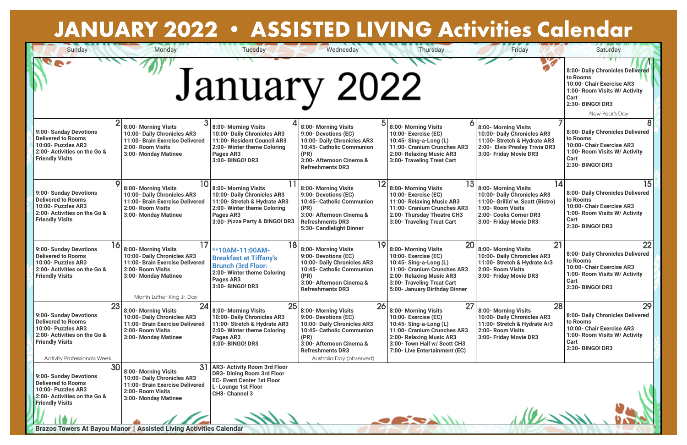**Brazos Towers At Bayou Manor || Assisted Living Activities Calendar**

| <b>JANUARY 2022 • ASSISTED LIVING Activities Calendar</b>                                                                                                                       |                                                                                                                                                                         |                                                                                                                                                                   |                                                                                                                                                                                                           |                                                                                                                                                                                                          |                                                                                                                                                                         |                                                                                                                                                                             |
|---------------------------------------------------------------------------------------------------------------------------------------------------------------------------------|-------------------------------------------------------------------------------------------------------------------------------------------------------------------------|-------------------------------------------------------------------------------------------------------------------------------------------------------------------|-----------------------------------------------------------------------------------------------------------------------------------------------------------------------------------------------------------|----------------------------------------------------------------------------------------------------------------------------------------------------------------------------------------------------------|-------------------------------------------------------------------------------------------------------------------------------------------------------------------------|-----------------------------------------------------------------------------------------------------------------------------------------------------------------------------|
| Sunday                                                                                                                                                                          | <b>Monday</b>                                                                                                                                                           | <b>Tuesday</b><br>January 2022                                                                                                                                    | Wednesday                                                                                                                                                                                                 | Thursday                                                                                                                                                                                                 | Friday                                                                                                                                                                  | Saturday<br>8:00- Daily Chronicles Delivered<br>to Rooms<br>10:00- Chair Exercise AR3<br>1:00- Room Visits W/ Activity<br><b>Cart</b><br>2:30- BINGO! DR3<br>New Year's Day |
| 9:00- Sunday Devotions<br><b>Delivered to Rooms</b><br>10:00- Puzzles AR3<br>2:00- Activities on the Go &<br><b>Friendly Visits</b>                                             | 3 <sup>l</sup><br>8:00- Morning Visits<br>10:00- Daily Chronicles AR3<br>11:00- Brain Exercise Delivered<br>2:00- Room Visits<br>3:00- Monday Matinee                   | 8:00- Morning Visits<br>10:00- Daily Chronicles AR3<br>11:00- Resident Council AR3<br>2:00- Winter theme Coloring<br>Pages AR3<br>3:00- BINGO! DR3                | 8:00- Morning Visits<br>9:00- Devotions (EC)<br>10:00- Daily Chronicles AR3<br>10:45- Catholic Communion<br>(PR)<br>3:00- Afternoon Cinema &<br><b>Refreshments DR3</b>                                   | 6<br>8:00- Morning Visits<br>10:00- Exercise (EC)<br>10:45- Sing-a-Long (L)<br>11:00- Cranium Crunches AR3<br>2:00- Relaxing Music AR3<br>3:00- Traveling Treat Cart                                     | 8:00- Morning Visits<br>10:00- Daily Chronicles AR3<br>11:00- Stretch & Hydrate AR3<br>2:00- Elvis Presley Trivia DR3<br>3:00- Friday Movie DR3                         | 8:00- Daily Chronicles Delivered<br>to Rooms<br>10:00- Chair Exercise AR3<br>1:00- Room Visits W/ Activity<br><b>Cart</b><br>2:30- BINGO! DR3                               |
| $\mathbf O$<br>9:00- Sunday Devotions<br><b>Delivered to Rooms</b><br>10:00- Puzzles AR3<br>2:00- Activities on the Go &<br><b>Friendly Visits</b>                              | 10 <sup>1</sup><br>8:00- Morning Visits<br>10:00- Daily Chronicles AR3<br>11:00- Brain Exercise Delivered<br>2:00- Room Visits<br>3:00- Monday Matinee                  | 8:00- Morning Visits<br>10:00- Daily Chronicles AR3<br>11:00- Stretch & Hydrate AR3<br>2:00- Winter theme Coloring<br>Pages AR3<br>3:00- Pizza Party & BINGO! DR3 | 12<br>8:00- Morning Visits<br>9:00- Devotions (EC)<br>10:45- Catholic Communion<br>(PR)<br>3:00- Afternoon Cinema &<br><b>Refreshments DR3</b><br>5:30- Candlelight Dinner                                | 13<br>8:00- Morning Visits<br>10:00- Exercise (EC)<br>11:00- Relaxing Music AR3<br>11:00- Cranium Crunches AR3<br>2:00- Thursday Theatre CH3<br>3:00- Traveling Treat Cart                               | 14<br>8:00- Morning Visits<br>10:00- Daily Chronicles AR3<br>11:00- Grillin' w. Scott (Bistro)<br>1:00- Room Visits<br>2:00- Cooks Corner DR3<br>3:00- Friday Movie DR3 | 15<br>8:00- Daily Chronicles Delivered<br>to Rooms<br>10:00- Chair Exercise AR3<br>1:00- Room Visits W/ Activity<br><b>Cart</b><br>2:30- BINGO! DR3                         |
| 16<br>9:00- Sunday Devotions<br><b>Delivered to Rooms</b><br>10:00- Puzzles AR3<br>2:00- Activities on the Go &<br><b>Friendly Visits</b>                                       | 17<br>8:00- Morning Visits<br>10:00- Daily Chronicles AR3<br>11:00- Brain Exercise Delivered<br>2:00- Room Visits<br>3:00- Monday Matinee<br>Martin Luther King Jr. Day | 18<br>**10AM-11:00AM-<br><b>Breakfast at Tiffany's</b><br><b>Brunch (3rd Floor)</b><br>2:00- Winter theme Coloring<br>Pages AR3<br>3:00- BINGO! DR3               | 19<br>8:00- Morning Visits<br>9:00- Devotions (EC)<br>10:00- Daily Chronicles AR3<br>10:45- Catholic Communion<br>(PR)<br>3:00- Afternoon Cinema &<br><b>Refreshments DR3</b>                             | 20<br>8:00- Morning Visits<br>10:00- Exercise (EC)<br>10:45- Sing-a-Long (L)<br>11:00- Cranium Crunches AR3<br>2:00- Relaxing Music AR3<br>3:00- Traveling Treat Cart<br>5:00- January Birthday Dinner   | 21<br>8:00- Morning Visits<br>10:00- Daily Chronicles AR3<br>11:00- Stretch & Hydrate Ar3<br>2:00- Room Visits<br>3:00- Friday Movie DR3                                | 22<br>8:00- Daily Chronicles Delivered<br>to Rooms<br>10:00- Chair Exercise AR3<br>1:00- Room Visits W/ Activity<br><b>Cart</b><br>2:30- BINGO! DR3                         |
| 23<br>9:00- Sunday Devotions<br><b>Delivered to Rooms</b><br>10:00- Puzzles AR3<br>2:00- Activities on the Go &<br><b>Friendly Visits</b><br><b>Activity Professionals Week</b> | 24<br>8:00- Morning Visits<br>10:00- Daily Chronicles AR3<br>11:00- Brain Exercise Delivered<br>2:00- Room Visits<br>3:00- Monday Matinee                               | 25<br>8:00- Morning Visits<br>10:00- Daily Chronicles AR3<br>11:00- Stretch & Hydrate AR3<br>2:00- Winter theme Coloring<br>Pages AR3<br>3:00- BINGO! DR3         | 26<br>8:00- Morning Visits<br>9:00- Devotions (EC)<br>10:00- Daily Chronicles AR3<br>10:45- Catholic Communion<br>(PR)<br>3:00- Afternoon Cinema &<br><b>Refreshments DR3</b><br>Australia Day (observed) | 27<br>8:00- Morning Visits<br>10:00- Exercise (EC)<br>10:45- Sing-a-Long (L)<br>11:00- Cranium Crunches AR3<br>2:00- Relaxing Music AR3<br>3:00- Town Hall w/ Scott CH3<br>7:00- Live Entertainment (EC) | 28<br>8:00- Morning Visits<br>10:00- Daily Chronicles AR3<br>11:00- Stretch & Hydrate Ar3<br>2:00- Room Visits<br>3:00- Friday Movie DR3                                | 29<br>8:00- Daily Chronicles Delivered<br>to Rooms<br>10:00- Chair Exercise AR3<br>1:00- Room Visits W/ Activity<br><b>Cart</b><br>2:30- BINGO! DR3                         |
| 30<br>9:00- Sunday Devotions<br><b>Delivered to Rooms</b><br>10:00- Puzzles AR3<br>2:00- Activities on the Go &<br><b>Friendly Visits</b>                                       | 31<br>8:00- Morning Visits<br>10:00- Daily Chronicles AR3<br>11:00- Brain Exercise Delivered<br>2:00- Room Visits<br>3:00- Monday Matinee                               | <b>AR3- Activity Room 3rd Floor</b><br><b>DR3- Dining Room 3rd Floor</b><br><b>EC- Event Center 1st Floor</b><br>L- Lounge 1st Floor<br>CH3- Channel 3            |                                                                                                                                                                                                           |                                                                                                                                                                                                          |                                                                                                                                                                         |                                                                                                                                                                             |